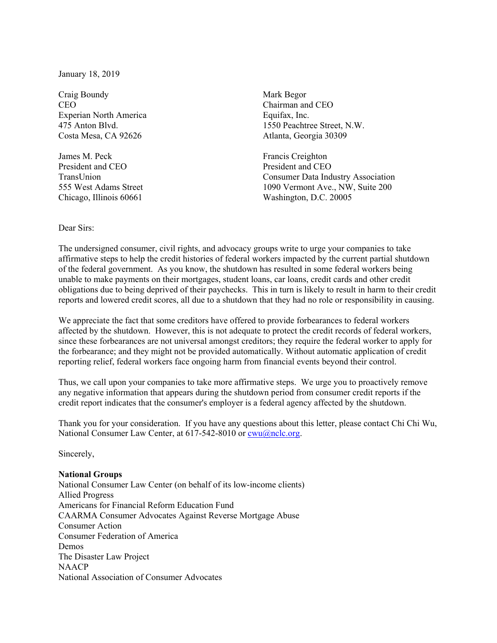January 18, 2019

Craig Boundy Mark Begor CEO CHAIRMAN CHAIRMAN CHAIRMAN CHO CHAIRMAN CHO Experian North America Equifax, Inc. Costa Mesa, CA 92626 Atlanta, Georgia 30309

James M. Peck Francis Creighton President and CEO President and CEO

475 Anton Blvd. 1550 Peachtree Street, N.W.

TransUnion Consumer Data Industry Association 555 West Adams Street 1090 Vermont Ave., NW, Suite 200 Chicago, Illinois 60661 Washington, D.C. 20005

## Dear Sirs:

The undersigned consumer, civil rights, and advocacy groups write to urge your companies to take affirmative steps to help the credit histories of federal workers impacted by the current partial shutdown of the federal government. As you know, the shutdown has resulted in some federal workers being unable to make payments on their mortgages, student loans, car loans, credit cards and other credit obligations due to being deprived of their paychecks. This in turn is likely to result in harm to their credit reports and lowered credit scores, all due to a shutdown that they had no role or responsibility in causing.

We appreciate the fact that some creditors have offered to provide forbearances to federal workers affected by the shutdown. However, this is not adequate to protect the credit records of federal workers, since these forbearances are not universal amongst creditors; they require the federal worker to apply for the forbearance; and they might not be provided automatically. Without automatic application of credit reporting relief, federal workers face ongoing harm from financial events beyond their control.

Thus, we call upon your companies to take more affirmative steps. We urge you to proactively remove any negative information that appears during the shutdown period from consumer credit reports if the credit report indicates that the consumer's employer is a federal agency affected by the shutdown.

Thank you for your consideration. If you have any questions about this letter, please contact Chi Chi Wu, National Consumer Law Center, at 617-542-8010 or cwu@nclc.org.

Sincerely,

## **National Groups**

National Consumer Law Center (on behalf of its low-income clients) Allied Progress Americans for Financial Reform Education Fund CAARMA Consumer Advocates Against Reverse Mortgage Abuse Consumer Action Consumer Federation of America Demos The Disaster Law Project **NAACP** National Association of Consumer Advocates